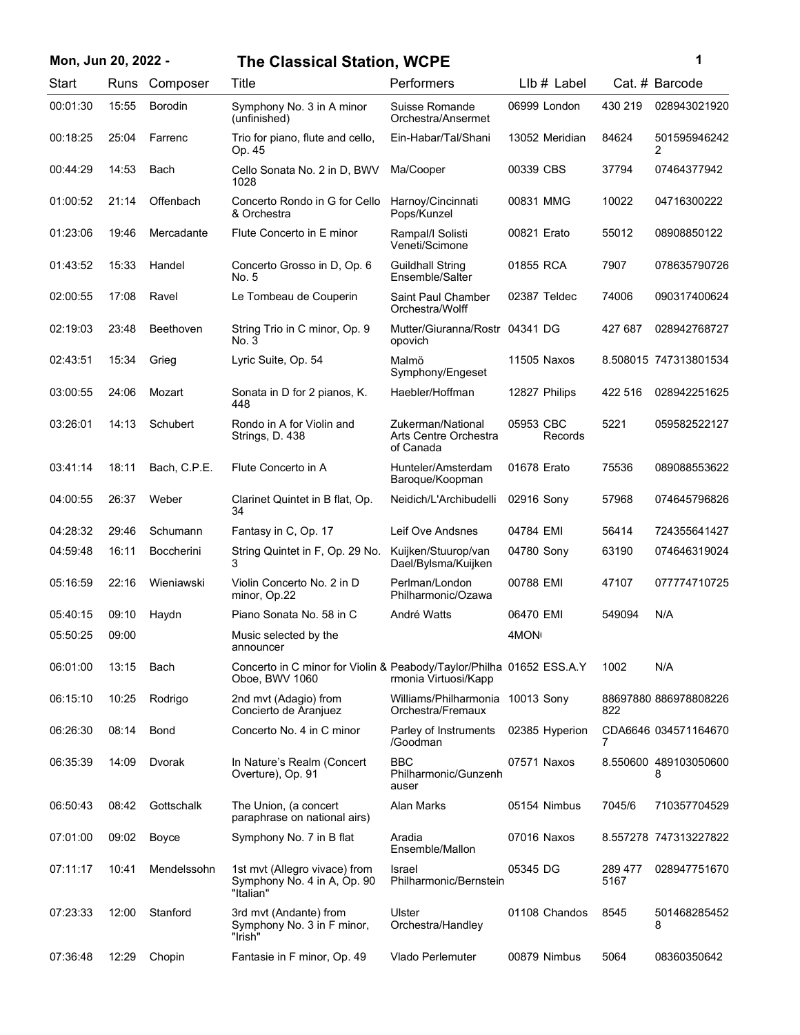| Mon, Jun 20, 2022 - |
|---------------------|
|---------------------|

## **Mon, Jun 20, 2022 - 1 The Classical Station, WCPE**

| Start    | Runs  | Composer          | <b>Title</b>                                                                           | Performers                                              | LIb # Label          |                 | Cat. # Barcode             |
|----------|-------|-------------------|----------------------------------------------------------------------------------------|---------------------------------------------------------|----------------------|-----------------|----------------------------|
| 00:01:30 | 15:55 | <b>Borodin</b>    | Symphony No. 3 in A minor<br>(unfinished)                                              | Suisse Romande<br>Orchestra/Ansermet                    | 06999 London         | 430 219         | 028943021920               |
| 00:18:25 | 25:04 | Farrenc           | Trio for piano, flute and cello,<br>Op. 45                                             | Ein-Habar/Tal/Shani                                     | 13052 Meridian       | 84624           | 501595946242<br>2          |
| 00:44:29 | 14:53 | Bach              | Cello Sonata No. 2 in D, BWV<br>1028                                                   | Ma/Cooper                                               | 00339 CBS            | 37794           | 07464377942                |
| 01:00:52 | 21:14 | Offenbach         | Concerto Rondo in G for Cello<br>& Orchestra                                           | Harnoy/Cincinnati<br>Pops/Kunzel                        | 00831 MMG            | 10022           | 04716300222                |
| 01:23:06 | 19:46 | Mercadante        | Flute Concerto in E minor                                                              | Rampal/I Solisti<br>Veneti/Scimone                      | 00821 Erato          | 55012           | 08908850122                |
| 01:43:52 | 15:33 | Handel            | Concerto Grosso in D, Op. 6<br>No. 5                                                   | <b>Guildhall String</b><br>Ensemble/Salter              | 01855 RCA            | 7907            | 078635790726               |
| 02:00:55 | 17:08 | Ravel             | Le Tombeau de Couperin                                                                 | Saint Paul Chamber<br>Orchestra/Wolff                   | 02387 Teldec         | 74006           | 090317400624               |
| 02:19:03 | 23:48 | Beethoven         | String Trio in C minor, Op. 9<br>No. 3                                                 | Mutter/Giuranna/Rostr 04341 DG<br>opovich               |                      | 427 687         | 028942768727               |
| 02:43:51 | 15:34 | Grieg             | Lyric Suite, Op. 54                                                                    | Malmö<br>Symphony/Engeset                               | 11505 Naxos          |                 | 8.508015 747313801534      |
| 03:00:55 | 24:06 | Mozart            | Sonata in D for 2 pianos, K.<br>448                                                    | Haebler/Hoffman                                         | 12827 Philips        | 422 516         | 028942251625               |
| 03:26:01 | 14:13 | Schubert          | Rondo in A for Violin and<br>Strings, D. 438                                           | Zukerman/National<br>Arts Centre Orchestra<br>of Canada | 05953 CBC<br>Records | 5221            | 059582522127               |
| 03:41:14 | 18:11 | Bach, C.P.E.      | Flute Concerto in A                                                                    | Hunteler/Amsterdam<br>Baroque/Koopman                   | 01678 Erato          | 75536           | 089088553622               |
| 04:00:55 | 26:37 | Weber             | Clarinet Quintet in B flat, Op.<br>34                                                  | Neidich/L'Archibudelli                                  | 02916 Sony           | 57968           | 074645796826               |
| 04:28:32 | 29:46 | Schumann          | Fantasy in C, Op. 17                                                                   | Leif Ove Andsnes                                        | 04784 EMI            | 56414           | 724355641427               |
| 04:59:48 | 16:11 | <b>Boccherini</b> | String Quintet in F, Op. 29 No.<br>3                                                   | Kuijken/Stuurop/van<br>Dael/Bylsma/Kuijken              | 04780 Sony           | 63190           | 074646319024               |
| 05:16:59 | 22:16 | Wieniawski        | Violin Concerto No. 2 in D<br>minor, Op.22                                             | Perlman/London<br>Philharmonic/Ozawa                    | 00788 EMI            | 47107           | 077774710725               |
| 05:40:15 | 09:10 | Haydn             | Piano Sonata No. 58 in C                                                               | André Watts                                             | 06470 EMI            | 549094          | N/A                        |
| 05:50:25 | 09:00 |                   | Music selected by the<br>announcer                                                     |                                                         | 4MON                 |                 |                            |
| 06:01:00 | 13:15 | Bach              | Concerto in C minor for Violin & Peabody/Taylor/Philha 01652 ESS.A.Y<br>Oboe, BWV 1060 | rmonia Virtuosi/Kapp                                    |                      | 1002            | N/A                        |
| 06:15:10 | 10:25 | Rodrigo           | 2nd mvt (Adagio) from<br>Concierto de Aranjuez                                         | Williams/Philharmonia 10013 Sony<br>Orchestra/Fremaux   |                      | 822             | 88697880 886978808226      |
| 06:26:30 | 08:14 | <b>Bond</b>       | Concerto No. 4 in C minor                                                              | Parley of Instruments<br>/Goodman                       | 02385 Hyperion       | 7               | CDA6646 034571164670       |
| 06:35:39 | 14:09 | Dvorak            | In Nature's Realm (Concert<br>Overture), Op. 91                                        | <b>BBC</b><br>Philharmonic/Gunzenh<br>auser             | 07571 Naxos          |                 | 8.550600 489103050600<br>8 |
| 06:50:43 | 08:42 | Gottschalk        | The Union, (a concert<br>paraphrase on national airs)                                  | Alan Marks                                              | 05154 Nimbus         | 7045/6          | 710357704529               |
| 07:01:00 | 09:02 | Boyce             | Symphony No. 7 in B flat                                                               | Aradia<br>Ensemble/Mallon                               | 07016 Naxos          |                 | 8.557278 747313227822      |
| 07:11:17 | 10:41 | Mendelssohn       | 1st mvt (Allegro vivace) from<br>Symphony No. 4 in A, Op. 90<br>"Italian"              | Israel<br>Philharmonic/Bernstein                        | 05345 DG             | 289 477<br>5167 | 028947751670               |
| 07:23:33 | 12:00 | Stanford          | 3rd mvt (Andante) from<br>Symphony No. 3 in F minor,<br>"Irish"                        | Ulster<br>Orchestra/Handley                             | 01108 Chandos        | 8545            | 501468285452<br>8          |
| 07:36:48 | 12:29 | Chopin            | Fantasie in F minor, Op. 49                                                            | Vlado Perlemuter                                        | 00879 Nimbus         | 5064            | 08360350642                |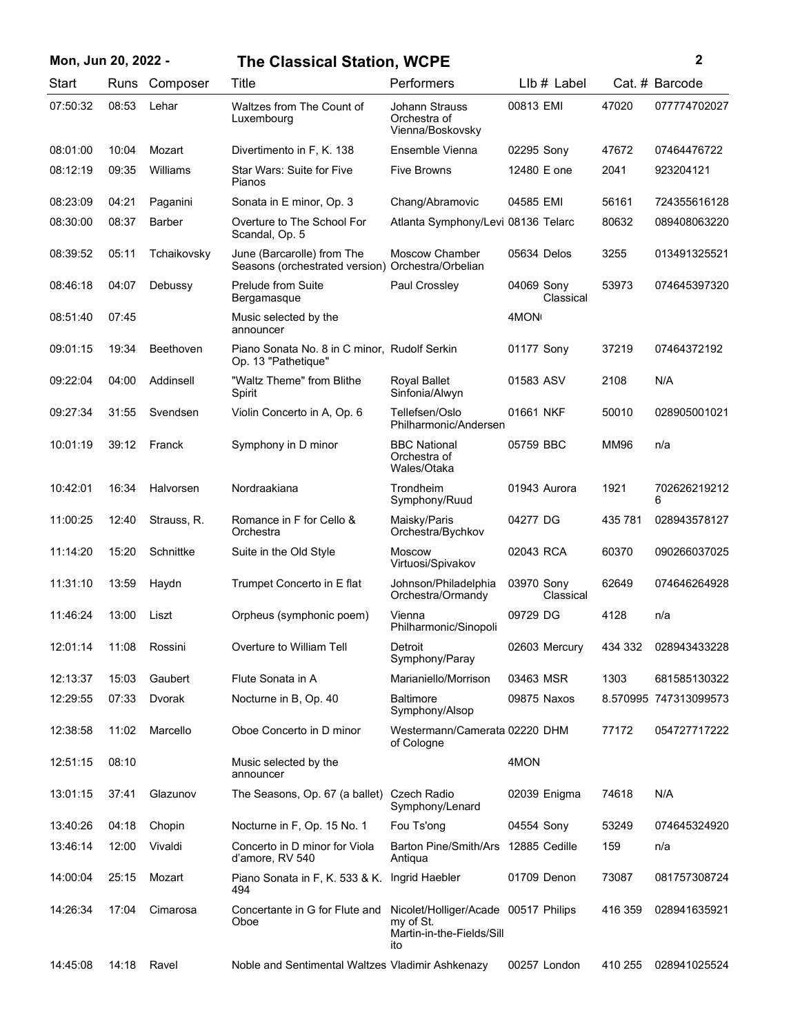| Mon, Jun 20, 2022 - |       |               | <b>The Classical Station, WCPE</b>                                  |                                                                                       |                         | $\boldsymbol{2}$ |                       |  |
|---------------------|-------|---------------|---------------------------------------------------------------------|---------------------------------------------------------------------------------------|-------------------------|------------------|-----------------------|--|
| Start               | Runs  | Composer      | Title                                                               | Performers                                                                            | LIb # Label             |                  | Cat. # Barcode        |  |
| 07:50:32            | 08:53 | Lehar         | Waltzes from The Count of<br>Luxembourg                             | <b>Johann Strauss</b><br>Orchestra of<br>Vienna/Boskovsky                             | 00813 EMI               | 47020            | 077774702027          |  |
| 08:01:00            | 10:04 | Mozart        | Divertimento in F, K. 138                                           | Ensemble Vienna                                                                       | 02295 Sony              | 47672            | 07464476722           |  |
| 08:12:19            | 09:35 | Williams      | Star Wars: Suite for Five<br>Pianos                                 | <b>Five Browns</b>                                                                    | 12480 E one             | 2041             | 923204121             |  |
| 08:23:09            | 04:21 | Paganini      | Sonata in E minor, Op. 3                                            | Chang/Abramovic                                                                       | 04585 EMI               | 56161            | 724355616128          |  |
| 08:30:00            | 08:37 | <b>Barber</b> | Overture to The School For<br>Scandal, Op. 5                        | Atlanta Symphony/Levi 08136 Telarc                                                    |                         | 80632            | 089408063220          |  |
| 08:39:52            | 05:11 | Tchaikovsky   | June (Barcarolle) from The<br>Seasons (orchestrated version)        | Moscow Chamber<br>Orchestra/Orbelian                                                  | 05634 Delos             | 3255             | 013491325521          |  |
| 08:46:18            | 04:07 | Debussy       | Prelude from Suite<br>Bergamasque                                   | Paul Crossley                                                                         | 04069 Sony<br>Classical | 53973            | 074645397320          |  |
| 08:51:40            | 07:45 |               | Music selected by the<br>announcer                                  |                                                                                       | 4MON <sub>1</sub>       |                  |                       |  |
| 09:01:15            | 19:34 | Beethoven     | Piano Sonata No. 8 in C minor, Rudolf Serkin<br>Op. 13 "Pathetique" |                                                                                       | 01177 Sony              | 37219            | 07464372192           |  |
| 09:22:04            | 04:00 | Addinsell     | "Waltz Theme" from Blithe<br>Spirit                                 | Royal Ballet<br>Sinfonia/Alwyn                                                        | 01583 ASV               | 2108             | N/A                   |  |
| 09:27:34            | 31:55 | Svendsen      | Violin Concerto in A, Op. 6                                         | Tellefsen/Oslo<br>Philharmonic/Andersen                                               | 01661 NKF               | 50010            | 028905001021          |  |
| 10:01:19            | 39:12 | Franck        | Symphony in D minor                                                 | <b>BBC National</b><br>Orchestra of<br>Wales/Otaka                                    | 05759 BBC               | <b>MM96</b>      | n/a                   |  |
| 10:42:01            | 16:34 | Halvorsen     | Nordraakiana                                                        | Trondheim<br>Symphony/Ruud                                                            | 01943 Aurora            | 1921             | 702626219212<br>6     |  |
| 11:00:25            | 12:40 | Strauss, R.   | Romance in F for Cello &<br>Orchestra                               | Maisky/Paris<br>Orchestra/Bychkov                                                     | 04277 DG                | 435 781          | 028943578127          |  |
| 11:14:20            | 15:20 | Schnittke     | Suite in the Old Style                                              | <b>Moscow</b><br>Virtuosi/Spivakov                                                    | 02043 RCA               | 60370            | 090266037025          |  |
| 11:31:10            | 13:59 | Haydn         | Trumpet Concerto in E flat                                          | Johnson/Philadelphia<br>Orchestra/Ormandy                                             | 03970 Sony<br>Classical | 62649            | 074646264928          |  |
| 11:46:24            | 13:00 | Liszt         | Orpheus (symphonic poem)                                            | Vienna<br>Philharmonic/Sinopoli                                                       | 09729 DG                | 4128             | n/a                   |  |
| 12:01:14            | 11:08 | Rossini       | Overture to William Tell                                            | Detroit<br>Symphony/Paray                                                             | 02603 Mercury           | 434 332          | 028943433228          |  |
| 12:13:37            | 15:03 | Gaubert       | Flute Sonata in A                                                   | Marianiello/Morrison                                                                  | 03463 MSR               | 1303             | 681585130322          |  |
| 12:29:55            | 07:33 | Dvorak        | Nocturne in B, Op. 40                                               | <b>Baltimore</b><br>Symphony/Alsop                                                    | 09875 Naxos             |                  | 8.570995 747313099573 |  |
| 12:38:58            | 11:02 | Marcello      | Oboe Concerto in D minor                                            | Westermann/Camerata 02220 DHM<br>of Cologne                                           |                         | 77172            | 054727717222          |  |
| 12:51:15            | 08:10 |               | Music selected by the<br>announcer                                  |                                                                                       | 4MON                    |                  |                       |  |
| 13:01:15            | 37:41 | Glazunov      | The Seasons, Op. 67 (a ballet) Czech Radio                          | Symphony/Lenard                                                                       | 02039 Enigma            | 74618            | N/A                   |  |
| 13:40:26            | 04:18 | Chopin        | Nocturne in F, Op. 15 No. 1                                         | Fou Ts'ong                                                                            | 04554 Sony              | 53249            | 074645324920          |  |
| 13:46:14            | 12:00 | Vivaldi       | Concerto in D minor for Viola<br>d'amore, RV 540                    | Barton Pine/Smith/Ars 12885 Cedille<br>Antiqua                                        |                         | 159              | n/a                   |  |
| 14:00:04            | 25:15 | Mozart        | Piano Sonata in F, K. 533 & K. Ingrid Haebler<br>494                |                                                                                       | 01709 Denon             | 73087            | 081757308724          |  |
| 14:26:34            | 17:04 | Cimarosa      | Concertante in G for Flute and<br>Oboe                              | Nicolet/Holliger/Acade 00517 Philips<br>my of St.<br>Martin-in-the-Fields/Sill<br>ito |                         | 416 359          | 028941635921          |  |
| 14:45:08            | 14:18 | Ravel         | Noble and Sentimental Waltzes Vladimir Ashkenazy                    |                                                                                       | 00257 London            | 410 255          | 028941025524          |  |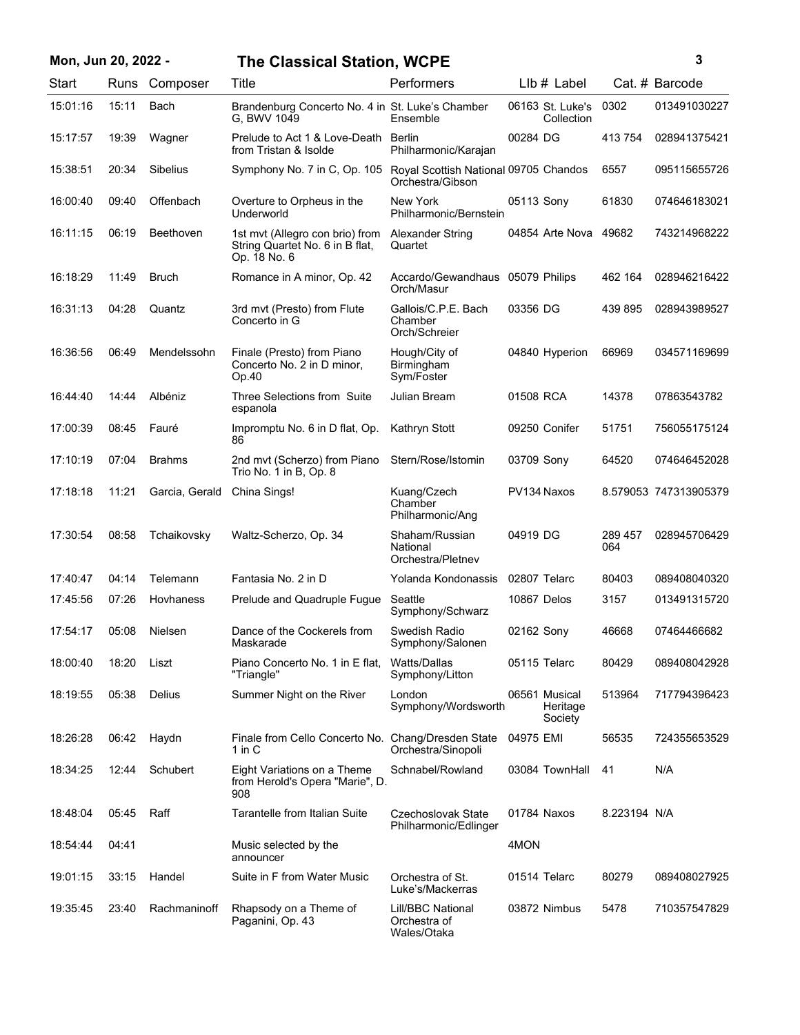| Mon, Jun 20, 2022 - |       |                 | <b>The Classical Station, WCPE</b>                                                 |                                                           |              |                                      |                | 3                     |
|---------------------|-------|-----------------|------------------------------------------------------------------------------------|-----------------------------------------------------------|--------------|--------------------------------------|----------------|-----------------------|
| Start               |       | Runs Composer   | Title                                                                              | Performers                                                |              | $Llb#$ Label                         |                | Cat. # Barcode        |
| 15:01:16            | 15:11 | Bach            | Brandenburg Concerto No. 4 in St. Luke's Chamber<br>G. BWV 1049                    | Ensemble                                                  |              | 06163 St. Luke's<br>Collection       | 0302           | 013491030227          |
| 15:17:57            | 19:39 | Wagner          | Prelude to Act 1 & Love-Death<br>from Tristan & Isolde                             | Berlin<br>Philharmonic/Karajan                            | 00284 DG     |                                      | 413754         | 028941375421          |
| 15:38:51            | 20:34 | <b>Sibelius</b> | Symphony No. 7 in C, Op. 105                                                       | Royal Scottish National 09705 Chandos<br>Orchestra/Gibson |              |                                      | 6557           | 095115655726          |
| 16:00:40            | 09:40 | Offenbach       | Overture to Orpheus in the<br>Underworld                                           | New York<br>Philharmonic/Bernstein                        | 05113 Sony   |                                      | 61830          | 074646183021          |
| 16:11:15            | 06:19 | Beethoven       | 1st myt (Allegro con brio) from<br>String Quartet No. 6 in B flat,<br>Op. 18 No. 6 | <b>Alexander String</b><br>Quartet                        |              | 04854 Arte Nova                      | 49682          | 743214968222          |
| 16:18:29            | 11:49 | <b>Bruch</b>    | Romance in A minor, Op. 42                                                         | Accardo/Gewandhaus 05079 Philips<br>Orch/Masur            |              |                                      | 462 164        | 028946216422          |
| 16:31:13            | 04:28 | Quantz          | 3rd mvt (Presto) from Flute<br>Concerto in G                                       | Gallois/C.P.E. Bach<br>Chamber<br>Orch/Schreier           | 03356 DG     |                                      | 439 895        | 028943989527          |
| 16:36:56            | 06:49 | Mendelssohn     | Finale (Presto) from Piano<br>Concerto No. 2 in D minor,<br>Op.40                  | Hough/City of<br>Birmingham<br>Sym/Foster                 |              | 04840 Hyperion                       | 66969          | 034571169699          |
| 16:44:40            | 14:44 | Albéniz         | Three Selections from Suite<br>espanola                                            | Julian Bream                                              | 01508 RCA    |                                      | 14378          | 07863543782           |
| 17:00:39            | 08:45 | Fauré           | Impromptu No. 6 in D flat, Op.<br>86                                               | Kathryn Stott                                             |              | 09250 Conifer                        | 51751          | 756055175124          |
| 17:10:19            | 07:04 | <b>Brahms</b>   | 2nd mvt (Scherzo) from Piano<br>Trio No. 1 in B, Op. 8                             | Stern/Rose/Istomin                                        | 03709 Sony   |                                      | 64520          | 074646452028          |
| 17:18:18            | 11:21 | Garcia, Gerald  | China Sings!                                                                       | Kuang/Czech<br>Chamber<br>Philharmonic/Ang                |              | PV134 Naxos                          |                | 8.579053 747313905379 |
| 17:30:54            | 08:58 | Tchaikovsky     | Waltz-Scherzo, Op. 34                                                              | Shaham/Russian<br>National<br>Orchestra/Pletnev           | 04919 DG     |                                      | 289 457<br>064 | 028945706429          |
| 17:40:47            | 04:14 | Telemann        | Fantasia No. 2 in D                                                                | Yolanda Kondonassis                                       | 02807 Telarc |                                      | 80403          | 089408040320          |
| 17:45:56            | 07:26 | Hovhaness       | Prelude and Quadruple Fugue                                                        | Seattle<br>Symphony/Schwarz                               | 10867 Delos  |                                      | 3157           | 013491315720          |
| 17:54:17            | 05:08 | <b>Nielsen</b>  | Dance of the Cockerels from<br>Maskarade                                           | Swedish Radio<br>Symphony/Salonen                         | 02162 Sony   |                                      | 46668          | 07464466682           |
| 18:00:40            | 18:20 | Liszt           | Piano Concerto No. 1 in E flat,<br>"Triangle"                                      | Watts/Dallas<br>Symphony/Litton                           | 05115 Telarc |                                      | 80429          | 089408042928          |
| 18:19:55            | 05:38 | Delius          | Summer Night on the River                                                          | London<br>Symphony/Wordsworth                             |              | 06561 Musical<br>Heritage<br>Society | 513964         | 717794396423          |
| 18:26:28            | 06:42 | Haydn           | Finale from Cello Concerto No. Chang/Dresden State<br>1 in C                       | Orchestra/Sinopoli                                        | 04975 EMI    |                                      | 56535          | 724355653529          |
| 18:34:25            | 12:44 | Schubert        | Eight Variations on a Theme<br>from Herold's Opera "Marie", D.<br>908              | Schnabel/Rowland                                          |              | 03084 TownHall                       | 41             | N/A                   |
| 18:48:04            | 05:45 | Raff            | Tarantelle from Italian Suite                                                      | Czechoslovak State<br>Philharmonic/Edlinger               |              | 01784 Naxos                          | 8.223194 N/A   |                       |
| 18:54:44            | 04:41 |                 | Music selected by the<br>announcer                                                 |                                                           | 4MON         |                                      |                |                       |
| 19:01:15            | 33:15 | Handel          | Suite in F from Water Music                                                        | Orchestra of St.<br>Luke's/Mackerras                      |              | 01514 Telarc                         | 80279          | 089408027925          |
| 19:35:45            | 23:40 | Rachmaninoff    | Rhapsody on a Theme of<br>Paganini, Op. 43                                         | Lill/BBC National<br>Orchestra of<br>Wales/Otaka          |              | 03872 Nimbus                         | 5478           | 710357547829          |